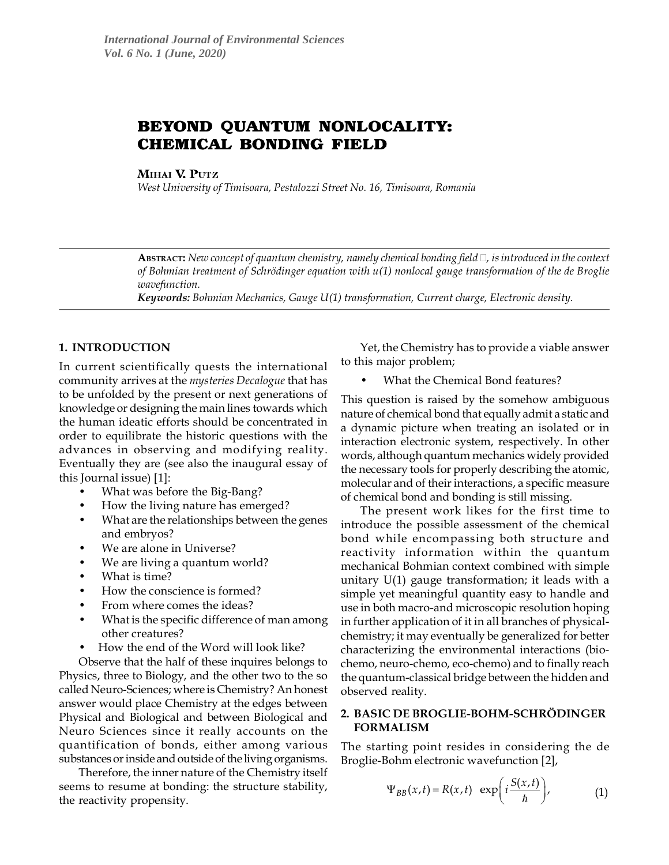# **BEYOND QUANTUM NONLOCALITY: CHEMICAL BONDING FIELD**

MIHAI V. PUTZ

*West University of Timisoara, Pestalozzi Street No. 16, Timisoara, Romania*

ABSTRACT: New concept of quantum chemistry, namely chemical bonding field  $\Box$ , is introduced in the context of Bohmian treatment of Schrödinger equation with u(1) nonlocal gauge transformation of the de Broglie wavefunction.

*Keywords:* Bohmian Mechanics, Gauge U(1) transformation, Current charge, Electronic density.

## **1. INTRODUCTION**

In current scientifically quests the international community arrives at the mysteries Decalogue that has to be unfolded by the present or next generations of knowledge or designing the main lines towards which the human ideatic efforts should be concentrated in order to equilibrate the historic questions with the advances in observing and modifying reality. Eventually they are (see also the inaugural essay of this Journal issue) [1]:

- What was before the Big-Bang?
- How the living nature has emerged?
- What are the relationships between the genes and embryos?
- We are alone in Universe?
- We are living a quantum world?
- What is time?
- How the conscience is formed?
- From where comes the ideas?
- What is the specific difference of man among other creatures?
- How the end of the Word will look like?

Observe that the half of these inquires belongs to Physics, three to Biology, and the other two to the so called Neuro-Sciences; where is Chemistry? An honest answer would place Chemistry at the edges between Physical and Biological and between Biological and Neuro Sciences since it really accounts on the quantification of bonds, either among various substances or inside and outside of the living organisms.

Therefore, the inner nature of the Chemistry itself seems to resume at bonding: the structure stability, the reactivity propensity.

Yet, the Chemistry has to provide a viable answer to this major problem;

• What the Chemical Bond features?

This question is raised by the somehow ambiguous nature of chemical bond that equally admit a static and a dynamic picture when treating an isolated or in interaction electronic system, respectively. In other words, although quantum mechanics widely provided the necessary tools for properly describing the atomic, molecular and of their interactions, a specific measure of chemical bond and bonding is still missing.

The present work likes for the first time to introduce the possible assessment of the chemical bond while encompassing both structure and reactivity information within the quantum mechanical Bohmian context combined with simple unitary U(1) gauge transformation; it leads with a simple yet meaningful quantity easy to handle and use in both macro-and microscopic resolution hoping in further application of it in all branches of physicalchemistry; it may eventually be generalized for better characterizing the environmental interactions (biochemo, neuro-chemo, eco-chemo) and to finally reach the quantum-classical bridge between the hidden and observed reality.

## **2. BASIC DE BROGLIE-BOHM-SCHRÖDINGER FORMALISM**

The starting point resides in considering the de Broglie-Bohm electronic wavefunction [2],

$$
\Psi_{BB}(x,t) = R(x,t) \exp\left(i\frac{S(x,t)}{\hbar}\right), \tag{1}
$$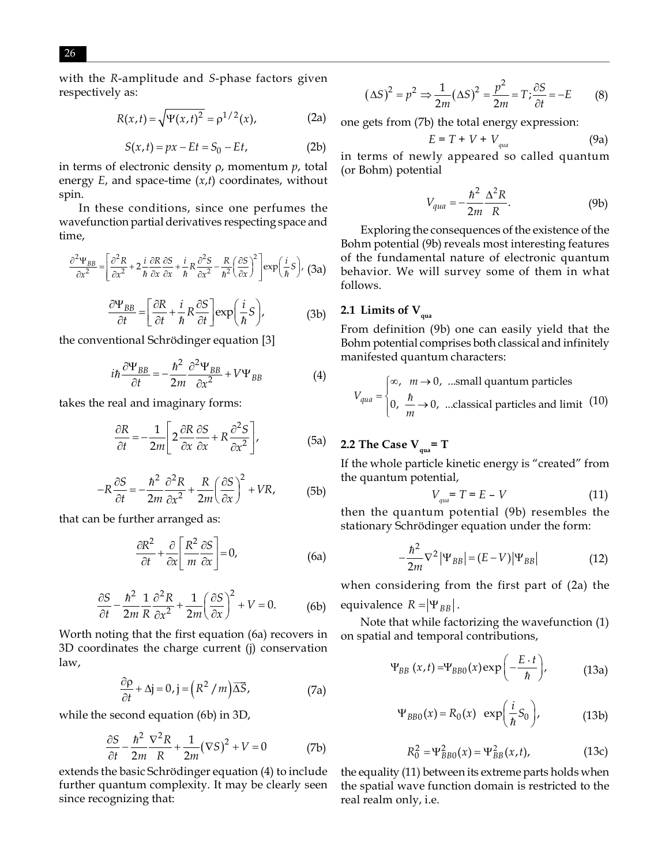with the R-amplitude and S-phase factors given respectively as:

$$
R(x,t) = \sqrt{\Psi(x,t)^2} = \rho^{1/2}(x),
$$
 (2a)

$$
S(x,t) = px - Et = S_0 - Et,
$$
 (2b)

in terms of electronic density  $\rho$ , momentum  $p$ , total energy  $E$ , and space-time  $(x,t)$  coordinates, without spin.

In these conditions, since one perfumes the wavefunction partial derivatives respecting space and time,

$$
\frac{\partial^2 \Psi_{BB}}{\partial x^2} = \left[ \frac{\partial^2 R}{\partial x^2} + 2 \frac{i}{\hbar} \frac{\partial R}{\partial x} \frac{\partial S}{\partial x} + \frac{i}{\hbar} R \frac{\partial^2 S}{\partial x^2} - \frac{R}{\hbar^2} \left( \frac{\partial S}{\partial x} \right)^2 \right] \exp\left( \frac{i}{\hbar} S \right), \tag{3a}
$$

$$
\frac{\partial \Psi_{BB}}{\partial t} = \left[ \frac{\partial R}{\partial t} + \frac{i}{\hbar} R \frac{\partial S}{\partial t} \right] \exp\left( \frac{i}{\hbar} S \right),\tag{3b}
$$

the conventional Schrödinger equation [3]

$$
i\hbar \frac{\partial \Psi_{BB}}{\partial t} = -\frac{\hbar^2}{2m} \frac{\partial^2 \Psi_{BB}}{\partial x^2} + V \Psi_{BB}
$$
(4)

takes the real and imaginary forms:

$$
\frac{\partial R}{\partial t} = -\frac{1}{2m} \left[ 2 \frac{\partial R}{\partial x} \frac{\partial S}{\partial x} + R \frac{\partial^2 S}{\partial x^2} \right],
$$
 (5a)

$$
-R\frac{\partial S}{\partial t} = -\frac{\hbar^2}{2m}\frac{\partial^2 R}{\partial x^2} + \frac{R}{2m}\left(\frac{\partial S}{\partial x}\right)^2 + VR,\tag{5b}
$$

that can be further arranged as:

$$
\frac{\partial R^2}{\partial t} + \frac{\partial}{\partial x} \left[ \frac{R^2}{m} \frac{\partial S}{\partial x} \right] = 0,
$$
 (6a)

$$
\frac{\partial S}{\partial t} - \frac{\hbar^2}{2m} \frac{1}{R} \frac{\partial^2 R}{\partial x^2} + \frac{1}{2m} \left(\frac{\partial S}{\partial x}\right)^2 + V = 0.
$$
 (6b)

Worth noting that the first equation (6a) recovers in 3D coordinates the charge current (j) conservation law,

$$
\frac{\partial \rho}{\partial t} + \Delta \mathbf{j} = 0, \mathbf{j} = \left( R^2 / m \right) \overline{\Delta S}, \tag{7a}
$$

while the second equation (6b) in 3D,

$$
\frac{\partial S}{\partial t} - \frac{\hbar^2}{2m} \frac{\nabla^2 R}{R} + \frac{1}{2m} (\nabla S)^2 + V = 0
$$
 (7b)

extends the basic Schrödinger equation (4) to include further quantum complexity. It may be clearly seen since recognizing that:

$$
(\Delta S)^2 = p^2 \Rightarrow \frac{1}{2m} (\Delta S)^2 = \frac{p^2}{2m} = T; \frac{\partial S}{\partial t} = -E \tag{8}
$$

one gets from (7b) the total energy expression:

$$
E = T + V + V_{\text{quad}} \tag{9a}
$$

in terms of newly appeared so called quantum (or Bohm) potential

$$
V_{qua} = -\frac{\hbar^2}{2m} \frac{\Delta^2 R}{R}.
$$
 (9b)

Exploring the consequences of the existence of the Bohm potential (9b) reveals most interesting features of the fundamental nature of electronic quantum behavior. We will survey some of them in what follows.

## 2.1 Limits of  $V_{\text{qua}}$

From definition (9b) one can easily yield that the Bohm potential comprises both classical and infinitely manifested quantum characters:

$$
V_{qua} = \begin{cases} \infty, & m \to 0, \text{ ...small quantum particles} \\ 0, & \frac{\hbar}{m} \to 0, \text{ ...classical particles and limit (10)} \end{cases}
$$

## 2.2 The Case  $V_{\text{gas}} = T$

If the whole particle kinetic energy is "created" from the quantum potential,

$$
V_{\text{and}} = T = E - V \tag{11}
$$

then the quantum potential (9b) resembles the stationary Schrödinger equation under the form:

$$
-\frac{\hbar^2}{2m}\nabla^2 |\Psi_{BB}| = (E - V)|\Psi_{BB}| \tag{12}
$$

when considering from the first part of (2a) the equivalence  $R = |\Psi_{BB}|$ .

Note that while factorizing the wavefunction (1) on spatial and temporal contributions,

$$
\Psi_{BB}(x,t) = \Psi_{BB0}(x) \exp\left(-\frac{E \cdot t}{\hbar}\right),\tag{13a}
$$

$$
\Psi_{BB0}(x) = R_0(x) \exp\left(\frac{i}{\hbar}S_0\right), \tag{13b}
$$

$$
R_0^2 = \Psi_{BB0}^2(x) = \Psi_{BB}^2(x, t), \tag{13c}
$$

the equality (11) between its extreme parts holds when the spatial wave function domain is restricted to the real realm only, i.e.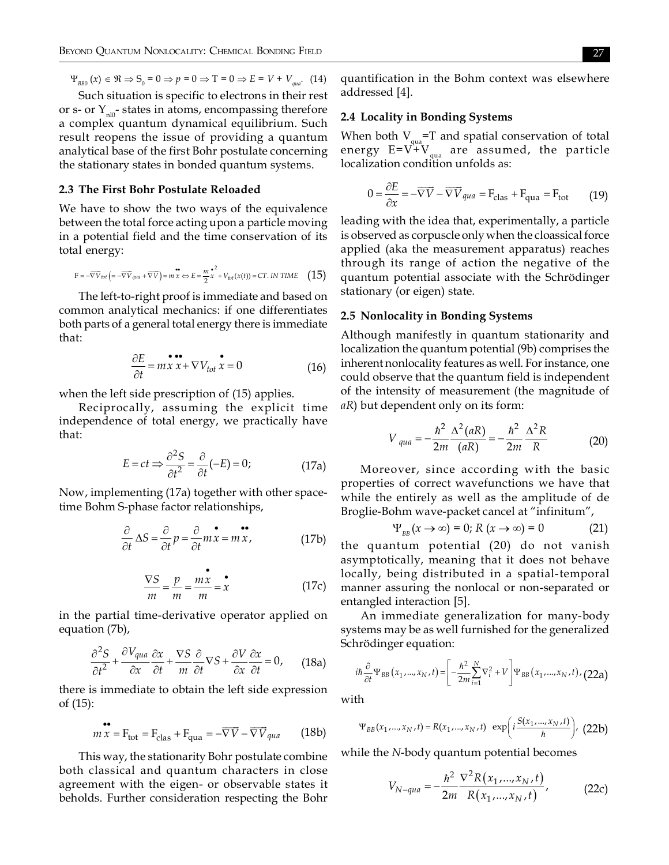$\Psi_{_{BB0}}(x) \in \Re \Rightarrow S_0 = 0 \Rightarrow p = 0 \Rightarrow T = 0 \Rightarrow E = V + V_{_{qual}}.$  (14)

Such situation is specific to electrons in their rest or s- or  $Y_{\text{min}}$ -states in atoms, encompassing therefore a complex quantum dynamical equilibrium. Such result reopens the issue of providing a quantum analytical base of the first Bohr postulate concerning the stationary states in bonded quantum systems.

#### 2.3 The First Bohr Postulate Reloaded

We have to show the two ways of the equivalence between the total force acting upon a particle moving in a potential field and the time conservation of its total energy:

$$
\mathbf{F} = -\overline{\nabla V}_{tot} \left( = -\overline{\nabla V}_{quad} + \overline{\nabla V} \right) = m \stackrel{\bullet}{x} \Leftrightarrow E = \frac{m}{2} \stackrel{\bullet}{x}^2 + V_{tot}(x(t)) = CT. \text{ IN TIME} \tag{15}
$$

The left-to-right proof is immediate and based on common analytical mechanics: if one differentiates both parts of a general total energy there is immediate that:

$$
\frac{\partial E}{\partial t} = m \dot{x} \dot{x} + \nabla V_{tot} \dot{x} = 0 \tag{16}
$$

when the left side prescription of (15) applies.

Reciprocally, assuming the explicit time independence of total energy, we practically have that:

$$
E = ct \Rightarrow \frac{\partial^2 S}{\partial t^2} = \frac{\partial}{\partial t} (-E) = 0;
$$
 (17a)

Now, implementing (17a) together with other spacetime Bohm S-phase factor relationships,

$$
\frac{\partial}{\partial t} \Delta S = \frac{\partial}{\partial t} p = \frac{\partial}{\partial t} m \dot{x} = m \dot{x}, \qquad (17b)
$$

$$
\frac{\nabla S}{m} = \frac{p}{m} = \frac{mx}{m} = x \tag{17c}
$$

in the partial time-derivative operator applied on equation (7b),

$$
\frac{\partial^2 S}{\partial t^2} + \frac{\partial V_{qua}}{\partial x} \frac{\partial x}{\partial t} + \frac{\nabla S}{m} \frac{\partial}{\partial t} \nabla S + \frac{\partial V}{\partial x} \frac{\partial x}{\partial t} = 0, \quad (18a)
$$

there is immediate to obtain the left side expression of  $(15)$ :

$$
m\overline{x} = F_{\text{tot}} = F_{\text{clas}} + F_{\text{qua}} = -\overline{\nabla}\overline{V} - \overline{\nabla}\overline{V}_{\text{qua}} \qquad (18b)
$$

This way, the stationarity Bohr postulate combine both classical and quantum characters in close agreement with the eigen- or observable states it beholds. Further consideration respecting the Bohr quantification in the Bohm context was elsewhere addressed [4].

## 2.4 Locality in Bonding Systems

When both  $V_{\text{max}}$ =T and spatial conservation of total energy  $E = V + V_{quad}$  are assumed, the particle localization condition unfolds as:

$$
0 = \frac{\partial E}{\partial x} = -\overline{\nabla V} - \overline{\nabla V}_{qua} = F_{clas} + F_{qua} = F_{tot}
$$
 (19)

leading with the idea that, experimentally, a particle is observed as corpuscle only when the cloassical force applied (aka the measurement apparatus) reaches through its range of action the negative of the quantum potential associate with the Schrödinger stationary (or eigen) state.

#### 2.5 Nonlocality in Bonding Systems

Although manifestly in quantum stationarity and localization the quantum potential (9b) comprises the inherent nonlocality features as well. For instance, one could observe that the quantum field is independent of the intensity of measurement (the magnitude of *aR*) but dependent only on its form:

$$
V_{qua} = -\frac{\hbar^2}{2m} \frac{\Delta^2 (aR)}{(aR)} = -\frac{\hbar^2}{2m} \frac{\Delta^2 R}{R}
$$
 (20)

Moreover, since according with the basic properties of correct wavefunctions we have that while the entirely as well as the amplitude of de Broglie-Bohm wave-packet cancel at "infinitum",

$$
\mathcal{Y}_{_{RR}}(x \to \infty) = 0; R(x \to \infty) = 0 \tag{21}
$$

the quantum potential (20) do not vanish asymptotically, meaning that it does not behave locally, being distributed in a spatial-temporal manner assuring the nonlocal or non-separated or entangled interaction [5].

An immediate generalization for many-body systems may be as well furnished for the generalized Schrödinger equation:

$$
i\hbar \frac{\partial}{\partial t} \Psi_{BB}(x_1,...,x_N,t) = \left[ -\frac{\hbar^2}{2m} \sum_{i=1}^N \nabla_i^2 + V \right] \Psi_{BB}(x_1,...,x_N,t) / (22a)
$$

with

$$
\Psi_{BB}(x_1,...,x_N,t) = R(x_1,...,x_N,t) \exp\left(i\frac{S(x_1,...,x_N,t)}{\hbar}\right),
$$
 (22b)

while the N-body quantum potential becomes

$$
V_{N-qua} = -\frac{\hbar^2}{2m} \frac{\nabla^2 R(x_1, ..., x_N, t)}{R(x_1, ..., x_N, t)},
$$
 (22c)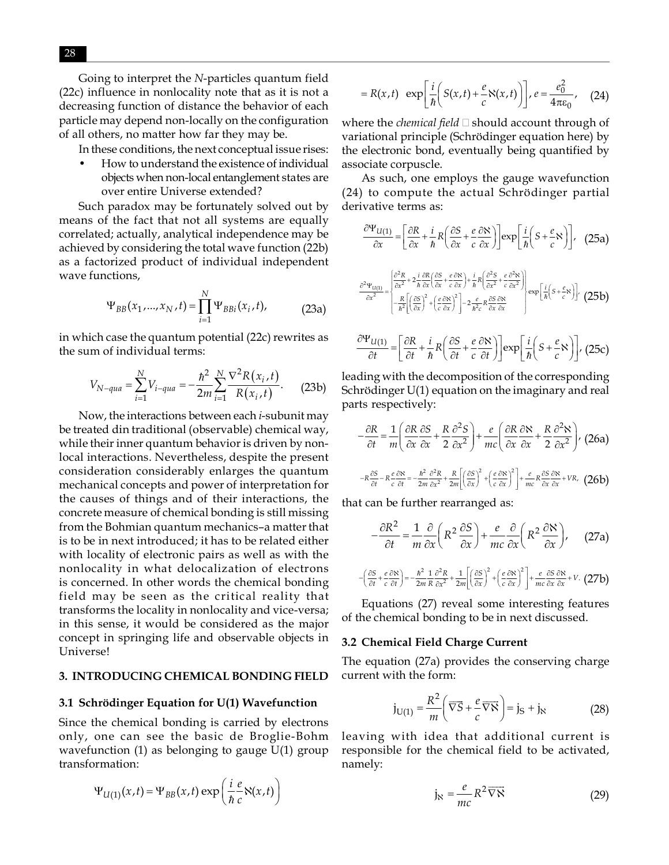Going to interpret the N-particles quantum field (22c) influence in nonlocality note that as it is not a decreasing function of distance the behavior of each particle may depend non-locally on the configuration of all others, no matter how far they may be.

In these conditions, the next conceptual issue rises:

How to understand the existence of individual objects when non-local entanglement states are over entire Universe extended?

Such paradox may be fortunately solved out by means of the fact that not all systems are equally correlated; actually, analytical independence may be achieved by considering the total wave function (22b) as a factorized product of individual independent wave functions,

$$
\Psi_{BB}(x_1,...,x_N,t) = \prod_{i=1}^N \Psi_{BBi}(x_i,t),
$$
 (23a)

in which case the quantum potential (22c) rewrites as the sum of individual terms:

$$
V_{N-qua} = \sum_{i=1}^{N} V_{i-qua} = -\frac{\hbar^2}{2m} \sum_{i=1}^{N} \frac{\nabla^2 R(x_i, t)}{R(x_i, t)}.
$$
 (23b)

Now, the interactions between each *i*-subunit may be treated din traditional (observable) chemical way, while their inner quantum behavior is driven by nonlocal interactions. Nevertheless, despite the present consideration considerably enlarges the quantum mechanical concepts and power of interpretation for the causes of things and of their interactions, the concrete measure of chemical bonding is still missing from the Bohmian quantum mechanics-a matter that is to be in next introduced; it has to be related either with locality of electronic pairs as well as with the nonlocality in what delocalization of electrons is concerned. In other words the chemical bonding field may be seen as the critical reality that transforms the locality in nonlocality and vice-versa; in this sense, it would be considered as the major concept in springing life and observable objects in Universe!

#### 3. INTRODUCING CHEMICAL BONDING FIELD

#### 3.1 Schrödinger Equation for U(1) Wavefunction

Since the chemical bonding is carried by electrons only, one can see the basic de Broglie-Bohm wavefunction  $(1)$  as belonging to gauge  $U(1)$  group transformation:

$$
\Psi_{U(1)}(x,t) = \Psi_{BB}(x,t) \exp\left(\frac{i}{\hbar} \frac{e}{c} \aleph(x,t)\right)
$$

$$
=R(x,t)\exp\left[\frac{i}{\hbar}\left(S(x,t)+\frac{e}{c}S(x,t)\right)\right], e=\frac{e_0^2}{4\pi\varepsilon_0}, \quad (24)
$$

where the *chemical field*  $\Box$  should account through of variational principle (Schrödinger equation here) by the electronic bond, eventually being quantified by associate corpuscle.

As such, one employs the gauge wavefunction (24) to compute the actual Schrödinger partial derivative terms as:

$$
\frac{\partial \Psi_{U(1)}}{\partial x} = \left[ \frac{\partial R}{\partial x} + \frac{i}{\hbar} R \left( \frac{\partial S}{\partial x} + \frac{e}{c} \frac{\partial S}{\partial x} \right) \right] \exp \left[ \frac{i}{\hbar} \left( S + \frac{e}{c} S \right) \right], \quad (25a)
$$

$$
\frac{\partial^2 \Psi_{U(1)}}{\partial x^2} = \begin{cases} \frac{\partial^2 R}{\partial x^2} + 2 \frac{i}{\hbar} \frac{\partial R}{\partial x} \left( \frac{\partial S}{\partial x} + \frac{e}{c} \frac{\partial S}{\partial x} \right) + \frac{i}{\hbar} R \left( \frac{\partial^2 S}{\partial x^2} + \frac{e}{c} \frac{\partial^2 S}{\partial x^2} \right) \\ -\frac{R}{\hbar^2} \left[ \left( \frac{\partial S}{\partial x} \right)^2 + \left( \frac{e}{c} \frac{\partial S}{\partial x} \right)^2 \right] - 2 \frac{e}{\hbar^2 c} R \frac{\partial S}{\partial x} \frac{\partial S}{\partial x} \end{cases} \exp \left[ \frac{i}{\hbar} \left( S + \frac{e}{c} S \right) \right], \quad (25b)
$$

$$
\frac{\partial \Psi_{U(1)}}{\partial t} = \left[ \frac{\partial R}{\partial t} + \frac{i}{\hbar} R \left( \frac{\partial S}{\partial t} + \frac{e}{c} \frac{\partial S}{\partial t} \right) \right] \exp \left[ \frac{i}{\hbar} \left( S + \frac{e}{c} S \right) \right], \tag{25c}
$$

leading with the decomposition of the corresponding Schrödinger U(1) equation on the imaginary and real parts respectively:

$$
-\frac{\partial R}{\partial t} = \frac{1}{m} \left( \frac{\partial R}{\partial x} \frac{\partial S}{\partial x} + \frac{R}{2} \frac{\partial^2 S}{\partial x^2} \right) + \frac{e}{mc} \left( \frac{\partial R}{\partial x} \frac{\partial S}{\partial x} + \frac{R}{2} \frac{\partial^2 S}{\partial x^2} \right), \quad (26a)
$$

$$
-R \frac{\partial S}{\partial t} - R \frac{e}{c} \frac{\partial S}{\partial t} = -\frac{\hbar^2}{2m} \frac{\partial^2 R}{\partial x^2} + \frac{R}{2m} \left[ \left( \frac{\partial S}{\partial x} \right)^2 + \left( \frac{e}{c} \frac{\partial S}{\partial x} \right)^2 \right] + \frac{e}{mc} R \frac{\partial S}{\partial x} \frac{\partial S}{\partial x} + VR, \quad (26b)
$$

that can be further rearranged as:

 $-\left($ 

$$
-\frac{\partial R^2}{\partial t} = \frac{1}{m} \frac{\partial}{\partial x} \left( R^2 \frac{\partial S}{\partial x} \right) + \frac{e}{mc} \frac{\partial}{\partial x} \left( R^2 \frac{\partial S}{\partial x} \right), \quad (27a)
$$
  

$$
\frac{\partial S}{\partial t} + \frac{e}{c} \frac{\partial S}{\partial t} \right) = -\frac{\hbar^2}{2m} \frac{1}{R} \frac{\partial^2 R}{\partial x^2} + \frac{1}{2m} \left[ \left( \frac{\partial S}{\partial x} \right)^2 + \left( \frac{e}{c} \frac{\partial S}{\partial x} \right)^2 \right] + \frac{e}{mc} \frac{\partial S}{\partial x} \frac{\partial S}{\partial x} + V. \quad (27b)
$$

Equations (27) reveal some interesting features of the chemical bonding to be in next discussed.

#### 3.2 Chemical Field Charge Current

The equation (27a) provides the conserving charge current with the form:

$$
\mathbf{j}_{\mathrm{U}(1)} = \frac{R^2}{m} \left( \overrightarrow{\nabla S} + \frac{e}{c} \overrightarrow{\nabla S} \right) = \mathbf{j}_\mathrm{S} + \mathbf{j}_\mathrm{N}
$$
 (28)

leaving with idea that additional current is responsible for the chemical field to be activated, namely:

$$
j_{N} = \frac{e}{mc} R^{2} \overrightarrow{\nabla N}
$$
 (29)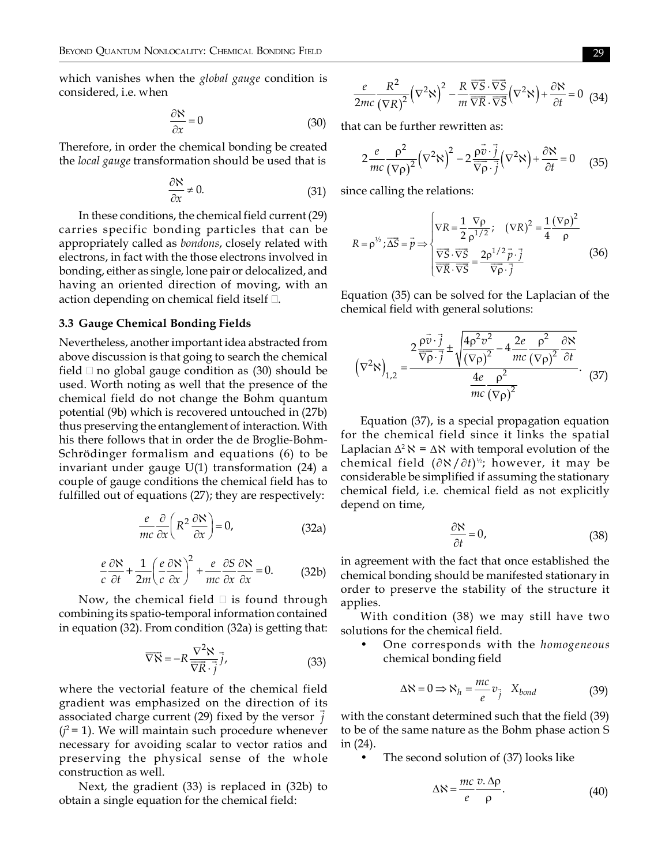which vanishes when the *global gauge* condition is considered, *i.e.* when

$$
\frac{\partial \aleph}{\partial x} = 0 \tag{30}
$$

Therefore, in order the chemical bonding be created the *local gauge* transformation should be used that is

$$
\frac{\partial \aleph}{\partial x} \neq 0. \tag{31}
$$

In these conditions, the chemical field current (29) carries specific bonding particles that can be appropriately called as bondons, closely related with electrons, in fact with the those electrons involved in bonding, either as single, lone pair or delocalized, and having an oriented direction of moving, with an action depending on chemical field itself  $\Box$ .

#### 3.3 Gauge Chemical Bonding Fields

Nevertheless, another important idea abstracted from above discussion is that going to search the chemical field  $\Box$  no global gauge condition as (30) should be used. Worth noting as well that the presence of the chemical field do not change the Bohm quantum potential (9b) which is recovered untouched in (27b) thus preserving the entanglement of interaction. With his there follows that in order the de Broglie-Bohm-Schrödinger formalism and equations (6) to be invariant under gauge  $U(1)$  transformation (24) a couple of gauge conditions the chemical field has to fulfilled out of equations (27); they are respectively:

$$
\frac{e}{mc}\frac{\partial}{\partial x}\left(R^2\frac{\partial \mathbf{N}}{\partial x}\right) = 0,\tag{32a}
$$

$$
\frac{e}{c}\frac{\partial \aleph}{\partial t} + \frac{1}{2m} \left(\frac{e}{c}\frac{\partial \aleph}{\partial x}\right)^2 + \frac{e}{mc}\frac{\partial S}{\partial x}\frac{\partial \aleph}{\partial x} = 0.
$$
 (32b)

Now, the chemical field  $\square$  is found through combining its spatio-temporal information contained in equation (32). From condition (32a) is getting that:

$$
\overrightarrow{\nabla\aleph} = -R \frac{\nabla^2 \aleph}{\overrightarrow{\nabla R} \cdot \overrightarrow{j}},
$$
 (33)

where the vectorial feature of the chemical field gradient was emphasized on the direction of its associated charge current (29) fixed by the versor  $\vec{i}$  $(j^2=1)$ . We will maintain such procedure whenever necessary for avoiding scalar to vector ratios and preserving the physical sense of the whole construction as well.

Next, the gradient (33) is replaced in (32b) to obtain a single equation for the chemical field:

$$
\frac{e}{2mc} \frac{R^2}{(\nabla R)^2} (\nabla^2 \aleph)^2 - \frac{R}{m} \frac{\nabla \vec{S} \cdot \nabla \vec{S}}{\nabla R \cdot \nabla \vec{S}} (\nabla^2 \aleph) + \frac{\partial \aleph}{\partial t} = 0 \tag{34}
$$

that can be further rewritten as:

$$
2\frac{e}{mc}\frac{\rho^2}{(\nabla \rho)^2}(\nabla^2 \aleph)^2 - 2\frac{\rho \vec{v} \cdot \vec{j}}{\nabla \rho \cdot \vec{j}}(\nabla^2 \aleph) + \frac{\partial \aleph}{\partial t} = 0 \quad (35)
$$

since calling the relations:

$$
R = \rho^{\frac{1}{2}}, \overline{\Delta S} = \overline{p} \Longrightarrow \begin{cases} \nabla R = \frac{1}{2} \frac{\nabla \rho}{\rho^{1/2}}; & (\nabla R)^2 = \frac{1}{4} \frac{(\nabla \rho)^2}{\rho} \\ \frac{\nabla \overline{S} \cdot \overline{\nabla S}}{\overline{\nabla R} \cdot \overline{\nabla S}} = \frac{2 \rho^{1/2} \overline{p} \cdot \overline{j}}{\overline{\nabla \rho} \cdot \overline{j}} \end{cases}
$$
(36)

Equation (35) can be solved for the Laplacian of the chemical field with general solutions:

$$
\left(\nabla^2 \aleph\right)_{1,2} = \frac{2 \frac{\rho \vec{v} \cdot \vec{j}}{\nabla \rho \cdot \vec{j}} \pm \sqrt{\frac{4 \rho^2 v^2}{(\nabla \rho)^2} - 4 \frac{2e}{mc} \frac{\rho^2}{(\nabla \rho)^2} \frac{\partial \aleph}{\partial t}}{\frac{4e}{mc} \frac{\rho^2}{(\nabla \rho)^2}}.
$$
 (37)

Equation (37), is a special propagation equation for the chemical field since it links the spatial Laplacian  $\Delta^2$   $\aleph$  =  $\Delta$  $\aleph$  with temporal evolution of the chemical field  $(\partial \aleph / \partial t)^{\frac{1}{2}}$ ; however, it may be considerable be simplified if assuming the stationary chemical field, i.e. chemical field as not explicitly depend on time,

$$
\frac{\partial \aleph}{\partial t} = 0,\tag{38}
$$

in agreement with the fact that once established the chemical bonding should be manifested stationary in order to preserve the stability of the structure it applies.

With condition (38) we may still have two solutions for the chemical field.

One corresponds with the *homogeneous* chemical bonding field

$$
\Delta N = 0 \Longrightarrow N_h = \frac{mc}{e} v_j \quad X_{bond} \tag{39}
$$

with the constant determined such that the field (39) to be of the same nature as the Bohm phase action S in  $(24)$ .

The second solution of (37) looks like

$$
\Delta \aleph = \frac{mc}{e} \frac{v \Delta \rho}{\rho}.
$$
 (40)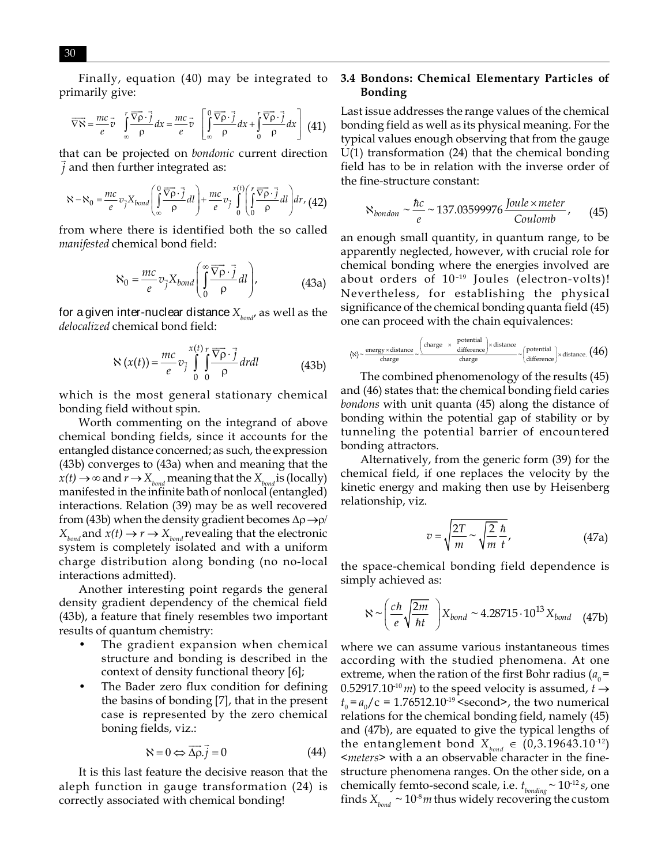Finally, equation (40) may be integrated to primarily give:

$$
\overrightarrow{\nabla\aleph} = \frac{mc}{e}\overrightarrow{v} \int_{\infty}^r \frac{\overrightarrow{\nabla\rho}\cdot\overrightarrow{j}}{\rho}dx = \frac{mc}{e}\overrightarrow{v} \left[\int_{\infty}^0 \frac{\overrightarrow{\nabla\rho}\cdot\overrightarrow{j}}{\rho}dx + \int_{0}^r \frac{\overrightarrow{\nabla\rho}\cdot\overrightarrow{j}}{\rho}dx\right] (41)
$$

that can be projected on *bondonic* current direction  $i$  and then further integrated as:

$$
\aleph - \aleph_0 = \frac{mc}{e} v_{\vec{j}} X_{bond} \left( \int_{\infty}^{0} \frac{\nabla \rho \cdot \vec{j}}{\rho} dl \right) + \frac{mc}{e} v_{\vec{j}} \int_{0}^{x(t)} \left( \int_{0}^{r} \frac{\nabla \rho \cdot \vec{j}}{\rho} dl \right) dr, \tag{42}
$$

from where there is identified both the so called manifested chemical bond field:

$$
\aleph_0 = \frac{mc}{e} v_{\vec{j}} X_{bond} \left( \int_0^\infty \frac{\nabla \rho \cdot \vec{j}}{\rho} dl \right), \tag{43a}
$$

for a given inter-nuclear distance  $X_{\text{bond}}$  as well as the delocalized chemical bond field:

$$
\aleph(x(t)) = \frac{mc}{e} v_{\vec{j}} \int_{0}^{x(t)} \int_{0}^{\overline{\nabla}\rho} \frac{\overline{\nabla}\rho}{\rho} dr dl
$$
 (43b)

which is the most general stationary chemical bonding field without spin.

Worth commenting on the integrand of above chemical bonding fields, since it accounts for the entangled distance concerned; as such, the expression (43b) converges to (43a) when and meaning that the  $x(t) \to \infty$  and  $r \to X_{\text{bond}}$  meaning that the  $X_{\text{bond}}$  is (locally) manifested in the infinite bath of nonlocal (entangled) interactions. Relation (39) may be as well recovered from (43b) when the density gradient becomes  $\Delta \rho \rightarrow \rho$ /  $X_{bond}$  and  $x(t) \rightarrow r \rightarrow X_{bond}$  revealing that the electronic system is completely isolated and with a uniform charge distribution along bonding (no no-local interactions admitted).

Another interesting point regards the general density gradient dependency of the chemical field (43b), a feature that finely resembles two important results of quantum chemistry:

- The gradient expansion when chemical structure and bonding is described in the context of density functional theory [6];
- The Bader zero flux condition for defining the basins of bonding [7], that in the present case is represented by the zero chemical boning fields, viz.:

$$
\aleph = 0 \Leftrightarrow \overrightarrow{\Delta \rho}.\overrightarrow{j} = 0 \tag{44}
$$

It is this last feature the decisive reason that the aleph function in gauge transformation (24) is correctly associated with chemical bonding!

### 3.4 Bondons: Chemical Elementary Particles of **Bonding**

Last issue addresses the range values of the chemical bonding field as well as its physical meaning. For the typical values enough observing that from the gauge  $U(1)$  transformation (24) that the chemical bonding field has to be in relation with the inverse order of the fine-structure constant:

$$
\aleph_{bondon} \sim \frac{\hbar c}{e} \sim 137.03599976 \frac{Joule \times meter}{Coulomb}, \qquad (45)
$$

an enough small quantity, in quantum range, to be apparently neglected, however, with crucial role for chemical bonding where the energies involved are about orders of 10<sup>-19</sup> Joules (electron-volts)! Nevertheless, for establishing the physical significance of the chemical bonding quanta field (45) one can proceed with the chain equivalences:

$$
\langle \aleph \rangle \sim \frac{\text{energy} \times \text{distance}}{\text{charge}} \sim \frac{\left(\text{charge } \times \text{ potential } \right) \times \text{distance}}{\text{charge}} \sim \left(\frac{\text{potential}}{\text{difference}}\right) \times \text{distance.}\left(46\right)
$$

The combined phenomenology of the results (45) and (46) states that: the chemical bonding field caries *bondons* with unit quanta (45) along the distance of bonding within the potential gap of stability or by tunneling the potential barrier of encountered bonding attractors.

Alternatively, from the generic form (39) for the chemical field, if one replaces the velocity by the kinetic energy and making then use by Heisenberg relationship, viz.

$$
v = \sqrt{\frac{2T}{m}} \sim \sqrt{\frac{2}{m}} \frac{\hbar}{t},
$$
 (47a)

the space-chemical bonding field dependence is simply achieved as:

$$
N \sim \left(\frac{c\hbar}{e}\sqrt{\frac{2m}{\hbar t}}\right) X_{bond} \sim 4.28715 \cdot 10^{13} X_{bond} \quad (47b)
$$

where we can assume various instantaneous times according with the studied phenomena. At one extreme, when the ration of the first Bohr radius ( $a_0$  = 0.52917.10<sup>-10</sup> *m*) to the speed velocity is assumed,  $t \rightarrow$  $t_0 = a_0/c = 1.76512.10^{-19}$  < second>, the two numerical relations for the chemical bonding field, namely (45) and (47b), are equated to give the typical lengths of the entanglement bond  $X_{\text{hand}} \in (0,3.19643.10^{12})$ *Imeters* > with a an observable character in the finestructure phenomena ranges. On the other side, on a chemically femto-second scale, i.e.  $t_{bonding} \sim 10^{-12} s$ , one finds  $X_{bound} \sim 10^{-8} m$  thus widely recovering the custom